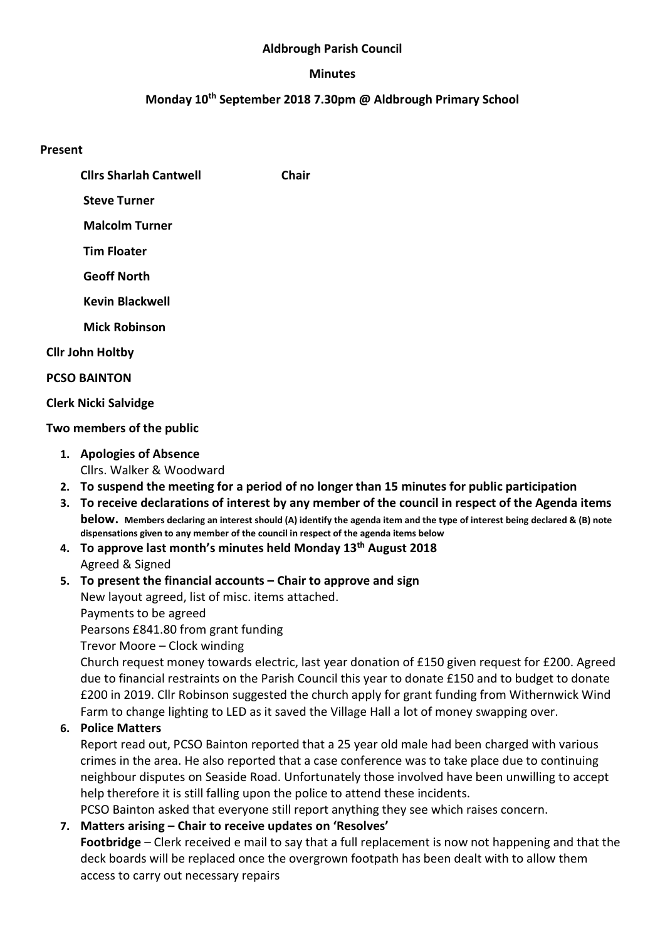## Aldbrough Parish Council

## **Minutes**

## Monday 10<sup>th</sup> September 2018 7.30pm @ Aldbrough Primary School

## Present

Cllrs Sharlah Cantwell Chair

Steve Turner

Malcolm Turner

Tim Floater

Geoff North

Kevin Blackwell

Mick Robinson

Cllr John Holtby

PCSO BAINTON

## Clerk Nicki Salvidge

## Two members of the public

- 1. Apologies of Absence Cllrs. Walker & Woodward
- 2. To suspend the meeting for a period of no longer than 15 minutes for public participation
- 3. To receive declarations of interest by any member of the council in respect of the Agenda items below. Members declaring an interest should (A) identify the agenda item and the type of interest being declared & (B) note dispensations given to any member of the council in respect of the agenda items below
- 4. To approve last month's minutes held Monday 13<sup>th</sup> August 2018 Agreed & Signed

## 5. To present the financial accounts – Chair to approve and sign New layout agreed, list of misc. items attached. Payments to be agreed Pearsons £841.80 from grant funding

Trevor Moore – Clock winding

Church request money towards electric, last year donation of £150 given request for £200. Agreed due to financial restraints on the Parish Council this year to donate £150 and to budget to donate £200 in 2019. Cllr Robinson suggested the church apply for grant funding from Withernwick Wind Farm to change lighting to LED as it saved the Village Hall a lot of money swapping over.

# 6. Police Matters

Report read out, PCSO Bainton reported that a 25 year old male had been charged with various crimes in the area. He also reported that a case conference was to take place due to continuing neighbour disputes on Seaside Road. Unfortunately those involved have been unwilling to accept help therefore it is still falling upon the police to attend these incidents.

PCSO Bainton asked that everyone still report anything they see which raises concern.

# 7. Matters arising – Chair to receive updates on 'Resolves'

Footbridge – Clerk received e mail to say that a full replacement is now not happening and that the deck boards will be replaced once the overgrown footpath has been dealt with to allow them access to carry out necessary repairs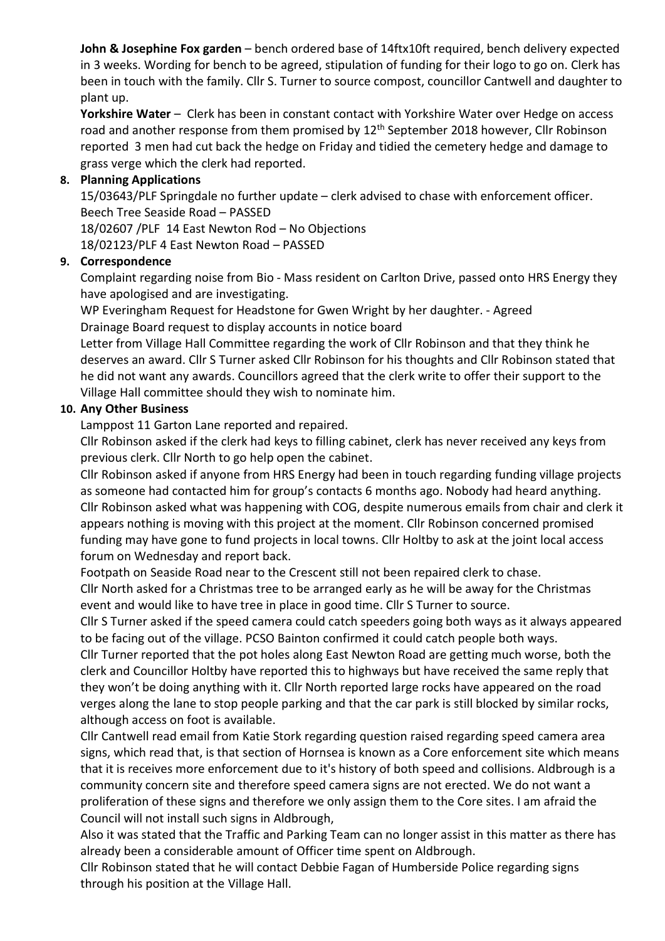John & Josephine Fox garden - bench ordered base of 14ftx10ft required, bench delivery expected in 3 weeks. Wording for bench to be agreed, stipulation of funding for their logo to go on. Clerk has been in touch with the family. Cllr S. Turner to source compost, councillor Cantwell and daughter to plant up.

Yorkshire Water - Clerk has been in constant contact with Yorkshire Water over Hedge on access road and another response from them promised by 12<sup>th</sup> September 2018 however, Cllr Robinson reported 3 men had cut back the hedge on Friday and tidied the cemetery hedge and damage to grass verge which the clerk had reported.

## 8. Planning Applications

15/03643/PLF Springdale no further update – clerk advised to chase with enforcement officer. Beech Tree Seaside Road – PASSED

18/02607 /PLF 14 East Newton Rod – No Objections

18/02123/PLF 4 East Newton Road – PASSED

## 9. Correspondence

Complaint regarding noise from Bio - Mass resident on Carlton Drive, passed onto HRS Energy they have apologised and are investigating.

WP Everingham Request for Headstone for Gwen Wright by her daughter. - Agreed Drainage Board request to display accounts in notice board

Letter from Village Hall Committee regarding the work of Cllr Robinson and that they think he deserves an award. Cllr S Turner asked Cllr Robinson for his thoughts and Cllr Robinson stated that he did not want any awards. Councillors agreed that the clerk write to offer their support to the Village Hall committee should they wish to nominate him.

#### 10. Any Other Business

Lamppost 11 Garton Lane reported and repaired.

Cllr Robinson asked if the clerk had keys to filling cabinet, clerk has never received any keys from previous clerk. Cllr North to go help open the cabinet.

Cllr Robinson asked if anyone from HRS Energy had been in touch regarding funding village projects as someone had contacted him for group's contacts 6 months ago. Nobody had heard anything. Cllr Robinson asked what was happening with COG, despite numerous emails from chair and clerk it appears nothing is moving with this project at the moment. Cllr Robinson concerned promised funding may have gone to fund projects in local towns. Cllr Holtby to ask at the joint local access forum on Wednesday and report back.

Footpath on Seaside Road near to the Crescent still not been repaired clerk to chase.

Cllr North asked for a Christmas tree to be arranged early as he will be away for the Christmas event and would like to have tree in place in good time. Cllr S Turner to source.

Cllr S Turner asked if the speed camera could catch speeders going both ways as it always appeared to be facing out of the village. PCSO Bainton confirmed it could catch people both ways.

Cllr Turner reported that the pot holes along East Newton Road are getting much worse, both the clerk and Councillor Holtby have reported this to highways but have received the same reply that they won't be doing anything with it. Cllr North reported large rocks have appeared on the road verges along the lane to stop people parking and that the car park is still blocked by similar rocks, although access on foot is available.

Cllr Cantwell read email from Katie Stork regarding question raised regarding speed camera area signs, which read that, is that section of Hornsea is known as a Core enforcement site which means that it is receives more enforcement due to it's history of both speed and collisions. Aldbrough is a community concern site and therefore speed camera signs are not erected. We do not want a proliferation of these signs and therefore we only assign them to the Core sites. I am afraid the Council will not install such signs in Aldbrough,

Also it was stated that the Traffic and Parking Team can no longer assist in this matter as there has already been a considerable amount of Officer time spent on Aldbrough.

Cllr Robinson stated that he will contact Debbie Fagan of Humberside Police regarding signs through his position at the Village Hall.